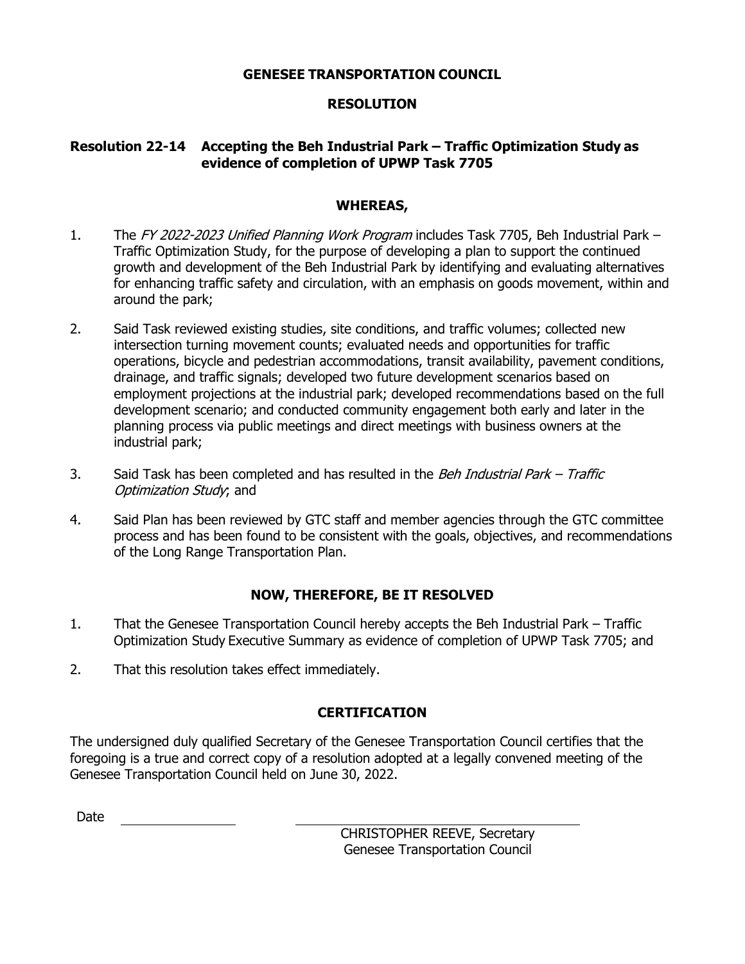## **GENESEE TRANSPORTATION COUNCIL**

# **RESOLUTION**

# **Resolution 22-14 Accepting the Beh Industrial Park – Traffic Optimization Study as evidence of completion of UPWP Task 7705**

## **WHEREAS,**

- 1. The FY 2022-2023 Unified Planning Work Program includes Task 7705, Beh Industrial Park Traffic Optimization Study, for the purpose of developing a plan to support the continued growth and development of the Beh Industrial Park by identifying and evaluating alternatives for enhancing traffic safety and circulation, with an emphasis on goods movement, within and around the park;
- 2. Said Task reviewed existing studies, site conditions, and traffic volumes; collected new intersection turning movement counts; evaluated needs and opportunities for traffic operations, bicycle and pedestrian accommodations, transit availability, pavement conditions, drainage, and traffic signals; developed two future development scenarios based on employment projections at the industrial park; developed recommendations based on the full development scenario; and conducted community engagement both early and later in the planning process via public meetings and direct meetings with business owners at the industrial park;
- 3. Said Task has been completed and has resulted in the *Beh Industrial Park Traffic* Optimization Study; and
- 4. Said Plan has been reviewed by GTC staff and member agencies through the GTC committee process and has been found to be consistent with the goals, objectives, and recommendations of the Long Range Transportation Plan.

# **NOW, THEREFORE, BE IT RESOLVED**

- 1. That the Genesee Transportation Council hereby accepts the Beh Industrial Park Traffic Optimization Study Executive Summary as evidence of completion of UPWP Task 7705; and
- 2. That this resolution takes effect immediately.

# **CERTIFICATION**

The undersigned duly qualified Secretary of the Genesee Transportation Council certifies that the foregoing is a true and correct copy of a resolution adopted at a legally convened meeting of the Genesee Transportation Council held on June 30, 2022.

Date

CHRISTOPHER REEVE, Secretary Genesee Transportation Council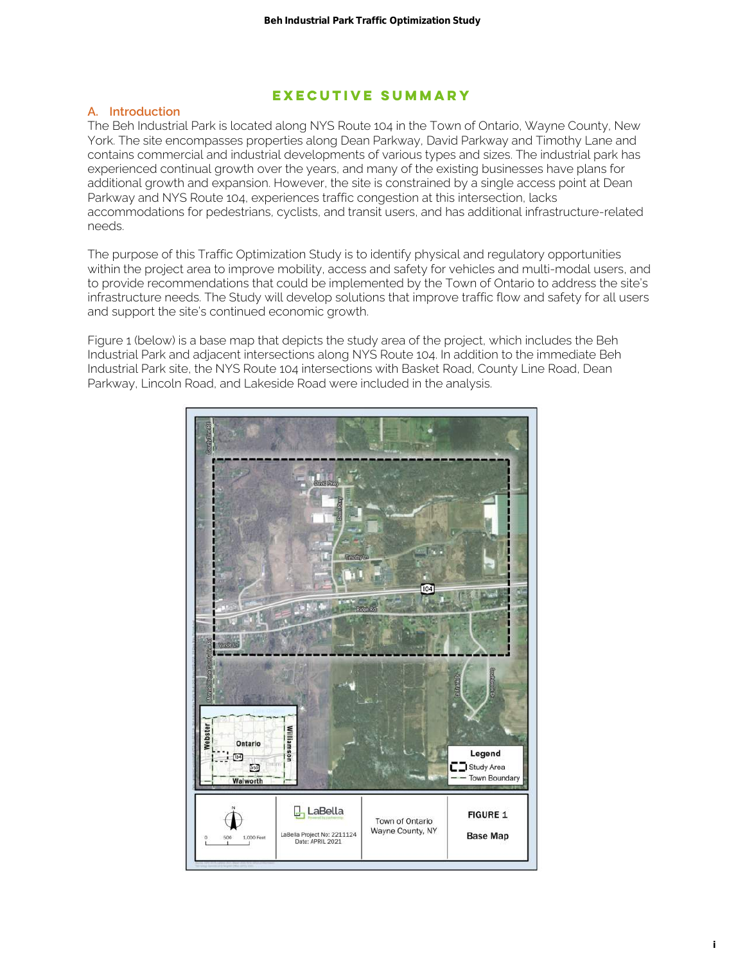## **Executive Summary**

#### **A. Introduction**

The Beh Industrial Park is located along NYS Route 104 in the Town of Ontario, Wayne County, New York. The site encompasses properties along Dean Parkway, David Parkway and Timothy Lane and contains commercial and industrial developments of various types and sizes. The industrial park has experienced continual growth over the years, and many of the existing businesses have plans for additional growth and expansion. However, the site is constrained by a single access point at Dean Parkway and NYS Route 104, experiences traffic congestion at this intersection, lacks accommodations for pedestrians, cyclists, and transit users, and has additional infrastructure-related needs.

The purpose of this Traffic Optimization Study is to identify physical and regulatory opportunities within the project area to improve mobility, access and safety for vehicles and multi-modal users, and to provide recommendations that could be implemented by the Town of Ontario to address the site's infrastructure needs. The Study will develop solutions that improve traffic flow and safety for all users and support the site's continued economic growth.

Figure 1 (below) is a base map that depicts the study area of the project, which includes the Beh Industrial Park and adjacent intersections along NYS Route 104. In addition to the immediate Beh Industrial Park site, the NYS Route 104 intersections with Basket Road, County Line Road, Dean Parkway, Lincoln Road, and Lakeside Road were included in the analysis.

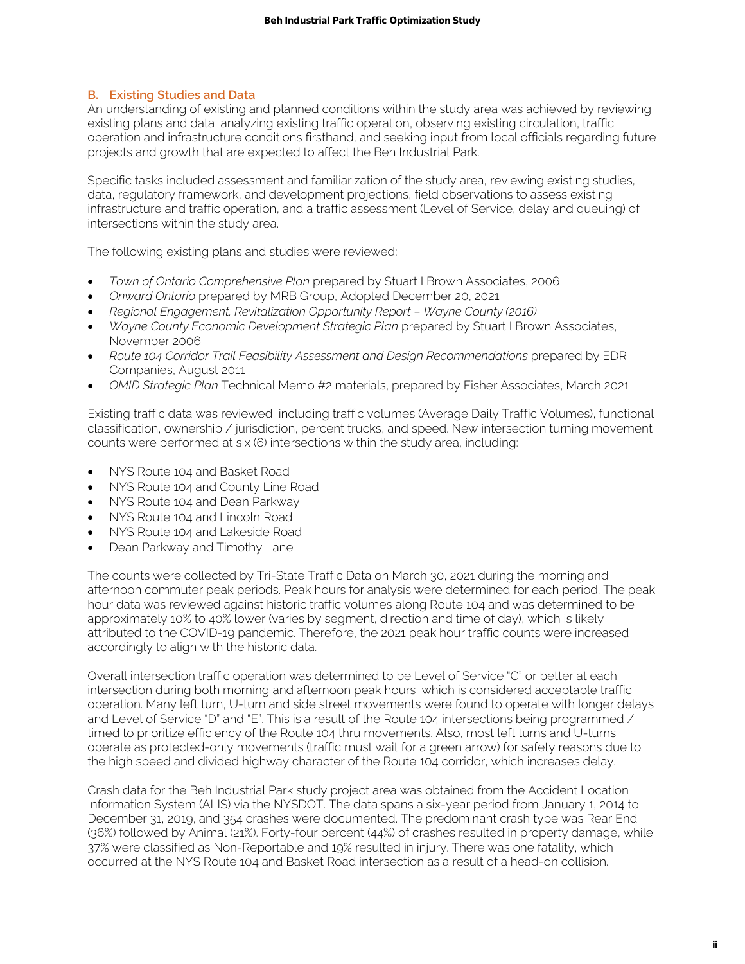## **B. Existing Studies and Data**

An understanding of existing and planned conditions within the study area was achieved by reviewing existing plans and data, analyzing existing traffic operation, observing existing circulation, traffic operation and infrastructure conditions firsthand, and seeking input from local officials regarding future projects and growth that are expected to affect the Beh Industrial Park.

Specific tasks included assessment and familiarization of the study area, reviewing existing studies, data, regulatory framework, and development projections, field observations to assess existing infrastructure and traffic operation, and a traffic assessment (Level of Service, delay and queuing) of intersections within the study area.

The following existing plans and studies were reviewed:

- *Town of Ontario Comprehensive Plan* prepared by Stuart I Brown Associates, 2006
- *Onward Ontario* prepared by MRB Group, Adopted December 20, 2021
- *Regional Engagement: Revitalization Opportunity Report Wayne County (2016)*
- *Wayne County Economic Development Strategic Plan* prepared by Stuart I Brown Associates, November 2006
- *Route 104 Corridor Trail Feasibility Assessment and Design Recommendations* prepared by EDR Companies, August 2011
- *OMID Strategic Plan* Technical Memo #2 materials, prepared by Fisher Associates, March 2021

Existing traffic data was reviewed, including traffic volumes (Average Daily Traffic Volumes), functional classification, ownership / jurisdiction, percent trucks, and speed. New intersection turning movement counts were performed at six (6) intersections within the study area, including:

- NYS Route 104 and Basket Road
- NYS Route 104 and County Line Road
- NYS Route 104 and Dean Parkway
- NYS Route 104 and Lincoln Road
- NYS Route 104 and Lakeside Road
- Dean Parkway and Timothy Lane

The counts were collected by Tri-State Traffic Data on March 30, 2021 during the morning and afternoon commuter peak periods. Peak hours for analysis were determined for each period. The peak hour data was reviewed against historic traffic volumes along Route 104 and was determined to be approximately 10% to 40% lower (varies by segment, direction and time of day), which is likely attributed to the COVID-19 pandemic. Therefore, the 2021 peak hour traffic counts were increased accordingly to align with the historic data.

Overall intersection traffic operation was determined to be Level of Service "C" or better at each intersection during both morning and afternoon peak hours, which is considered acceptable traffic operation. Many left turn, U-turn and side street movements were found to operate with longer delays and Level of Service "D" and "E". This is a result of the Route 104 intersections being programmed / timed to prioritize efficiency of the Route 104 thru movements. Also, most left turns and U-turns operate as protected-only movements (traffic must wait for a green arrow) for safety reasons due to the high speed and divided highway character of the Route 104 corridor, which increases delay. **i)** the matrix Park Traffic Optimization Study<br>
is planned conditions within the sundy area was uccleened by reviseding<br>
of planned conditions within the sundy area was uccleened by reviseding<br>
of planned conditions for t

Crash data for the Beh Industrial Park study project area was obtained from the Accident Location Information System (ALIS) via the NYSDOT. The data spans a six-year period from January 1, 2014 to December 31, 2019, and 354 crashes were documented. The predominant crash type was Rear End (36%) followed by Animal (21%). Forty-four percent (44%) of crashes resulted in property damage, while 37% were classified as Non-Reportable and 19% resulted in injury. There was one fatality, which occurred at the NYS Route 104 and Basket Road intersection as a result of a head-on collision.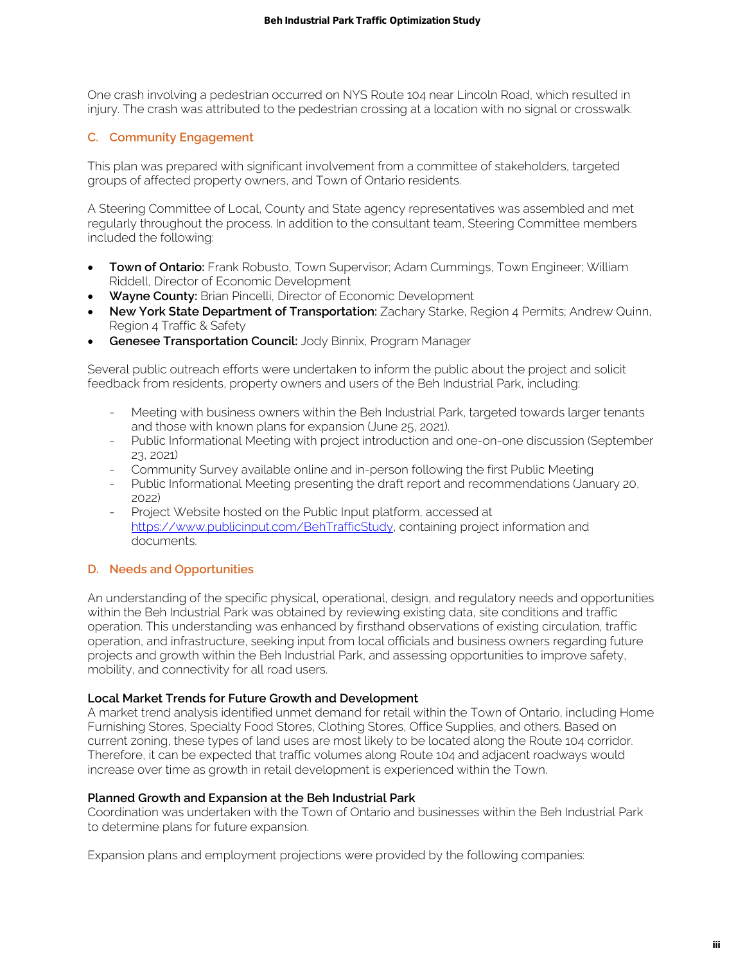One crash involving a pedestrian occurred on NYS Route 104 near Lincoln Road, which resulted in injury. The crash was attributed to the pedestrian crossing at a location with no signal or crosswalk.

## **C. Community Engagement**

This plan was prepared with significant involvement from a committee of stakeholders, targeted groups of affected property owners, and Town of Ontario residents.

A Steering Committee of Local, County and State agency representatives was assembled and met regularly throughout the process. In addition to the consultant team, Steering Committee members included the following:

- **Town of Ontario:** Frank Robusto, Town Supervisor; Adam Cummings, Town Engineer; William Riddell, Director of Economic Development
- **Wayne County:** Brian Pincelli, Director of Economic Development
- **New York State Department of Transportation:** Zachary Starke, Region 4 Permits; Andrew Quinn, Region 4 Traffic & Safety
- **Genesee Transportation Council:** Jody Binnix, Program Manager

Several public outreach efforts were undertaken to inform the public about the project and solicit feedback from residents, property owners and users of the Beh Industrial Park, including:

- Meeting with business owners within the Beh Industrial Park, targeted towards larger tenants and those with known plans for expansion (June 25, 2021).
- Public Informational Meeting with project introduction and one-on-one discussion (September 23, 2021)
- Community Survey available online and in-person following the first Public Meeting
- Public Informational Meeting presenting the draft report and recommendations (January 20, 2022)
- Project Website hosted on the Public Input platform, accessed at https://www.publicinput.com/BehTrafficStudy, containing project information and documents.

## **D. Needs and Opportunities**

An understanding of the specific physical, operational, design, and regulatory needs and opportunities within the Beh Industrial Park was obtained by reviewing existing data, site conditions and traffic operation. This understanding was enhanced by firsthand observations of existing circulation, traffic operation, and infrastructure, seeking input from local officials and business owners regarding future projects and growth within the Beh Industrial Park, and assessing opportunities to improve safety, mobility, and connectivity for all road users. **i)** the historic on NY: Rotate to a real including Study<br>
in occurred on NY: Rotate to a real including Road, which resulted in<br>
of the profession of the Sicilian Study of the form of the simulation of the systems<br>
influe

## **Local Market Trends for Future Growth and Development**

A market trend analysis identified unmet demand for retail within the Town of Ontario, including Home Furnishing Stores, Specialty Food Stores, Clothing Stores, Office Supplies, and others. Based on current zoning, these types of land uses are most likely to be located along the Route 104 corridor. Therefore, it can be expected that traffic volumes along Route 104 and adjacent roadways would increase over time as growth in retail development is experienced within the Town.

#### **Planned Growth and Expansion at the Beh Industrial Park**

Coordination was undertaken with the Town of Ontario and businesses within the Beh Industrial Park to determine plans for future expansion.

Expansion plans and employment projections were provided by the following companies: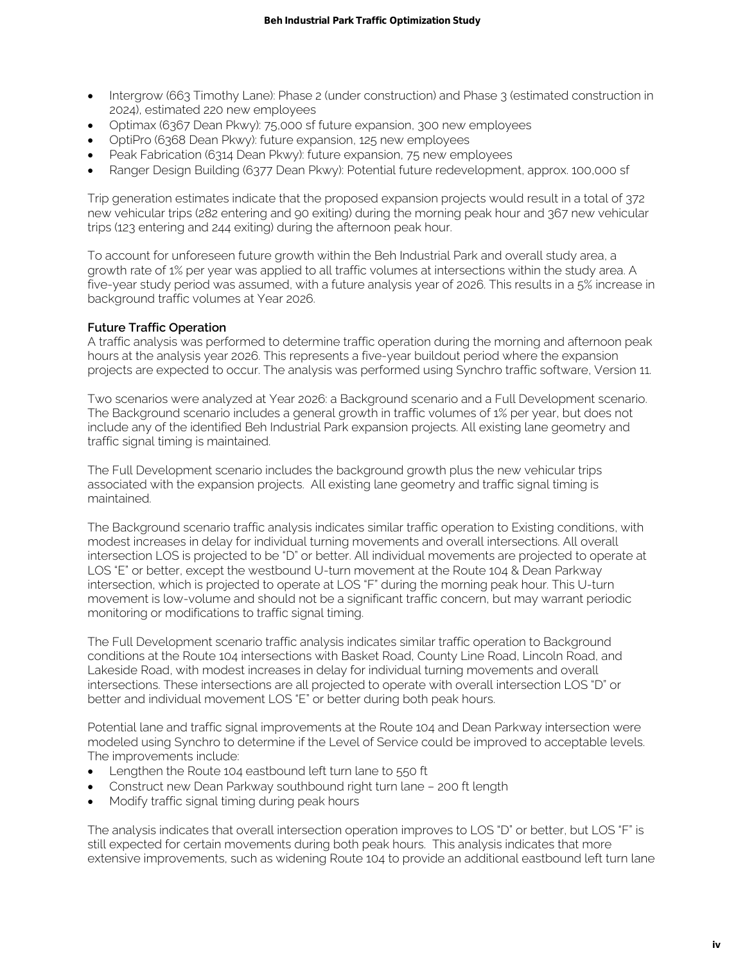- Intergrow (663 Timothy Lane): Phase 2 (under construction) and Phase 3 (estimated construction in 2024), estimated 220 new employees
- Optimax (6367 Dean Pkwy): 75,000 sf future expansion, 300 new employees
- OptiPro (6368 Dean Pkwy): future expansion, 125 new employees
- Peak Fabrication (6314 Dean Pkwy): future expansion, 75 new employees
- Ranger Design Building (6377 Dean Pkwy): Potential future redevelopment, approx. 100,000 sf

Trip generation estimates indicate that the proposed expansion projects would result in a total of 372 new vehicular trips (282 entering and 90 exiting) during the morning peak hour and 367 new vehicular trips (123 entering and 244 exiting) during the afternoon peak hour.

To account for unforeseen future growth within the Beh Industrial Park and overall study area, a growth rate of 1% per year was applied to all traffic volumes at intersections within the study area. A five-year study period was assumed, with a future analysis year of 2026. This results in a 5% increase in background traffic volumes at Year 2026.

## **Future Traffic Operation**

A traffic analysis was performed to determine traffic operation during the morning and afternoon peak hours at the analysis year 2026. This represents a five-year buildout period where the expansion projects are expected to occur. The analysis was performed using Synchro traffic software, Version 11.

Two scenarios were analyzed at Year 2026: a Background scenario and a Full Development scenario. The Background scenario includes a general growth in traffic volumes of 1% per year, but does not include any of the identified Beh Industrial Park expansion projects. All existing lane geometry and traffic signal timing is maintained.

The Full Development scenario includes the background growth plus the new vehicular trips associated with the expansion projects. All existing lane geometry and traffic signal timing is maintained.

The Background scenario traffic analysis indicates similar traffic operation to Existing conditions, with modest increases in delay for individual turning movements and overall intersections. All overall intersection LOS is projected to be "D" or better. All individual movements are projected to operate at LOS "E" or better, except the westbound U-turn movement at the Route 104 & Dean Parkway intersection, which is projected to operate at LOS "F" during the morning peak hour. This U-turn movement is low-volume and should not be a significant traffic concern, but may warrant periodic monitoring or modifications to traffic signal timing. **Beh Industrial Park Traffic Optimization Study**<br> **iv i**Photos <sup>2</sup> undelic construction) and Photos 3 persiminates construction in<br>
Photography<br> **iv in**  $\mathbf{p}(\mathbf{p}, \mathbf{p}, \mathbf{p})$  is the construction of the proposition

The Full Development scenario traffic analysis indicates similar traffic operation to Background conditions at the Route 104 intersections with Basket Road, County Line Road, Lincoln Road, and Lakeside Road, with modest increases in delay for individual turning movements and overall intersections. These intersections are all projected to operate with overall intersection LOS "D" or better and individual movement LOS "E" or better during both peak hours.

Potential lane and traffic signal improvements at the Route 104 and Dean Parkway intersection were modeled using Synchro to determine if the Level of Service could be improved to acceptable levels. The improvements include:

- Lengthen the Route 104 eastbound left turn lane to 550 ft
- Construct new Dean Parkway southbound right turn lane 200 ft length
- Modify traffic signal timing during peak hours

The analysis indicates that overall intersection operation improves to LOS "D" or better, but LOS "F" is still expected for certain movements during both peak hours. This analysis indicates that more extensive improvements, such as widening Route 104 to provide an additional eastbound left turn lane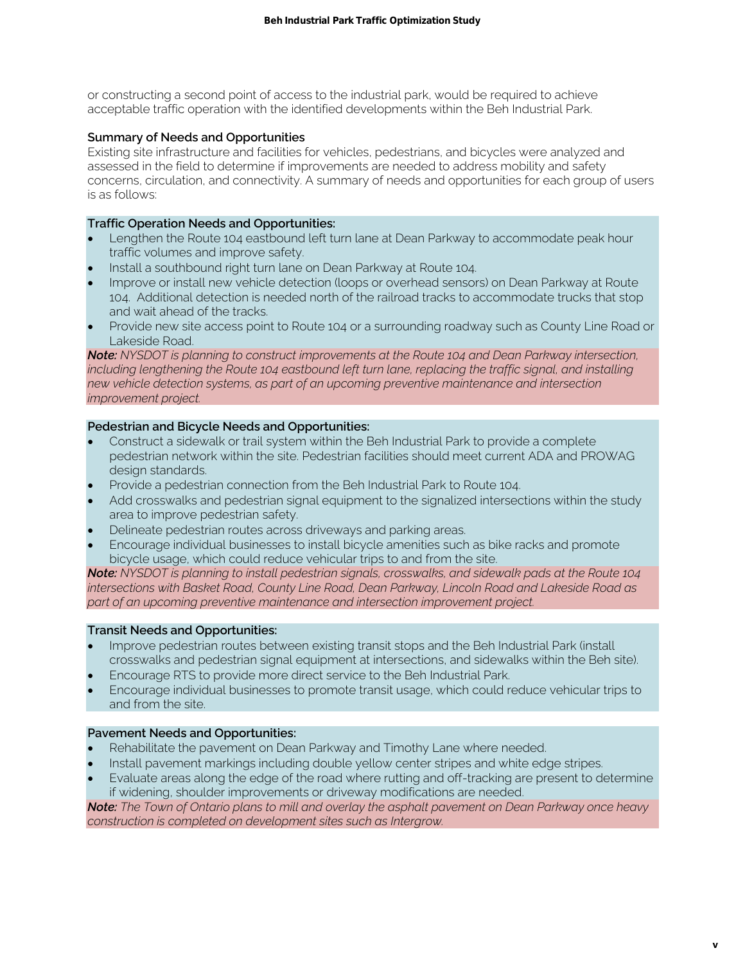or constructing a second point of access to the industrial park, would be required to achieve acceptable traffic operation with the identified developments within the Beh Industrial Park.

## **Summary of Needs and Opportunities**

Existing site infrastructure and facilities for vehicles, pedestrians, and bicycles were analyzed and assessed in the field to determine if improvements are needed to address mobility and safety concerns, circulation, and connectivity. A summary of needs and opportunities for each group of users is as follows:

## **Traffic Operation Needs and Opportunities:**

- Lengthen the Route 104 eastbound left turn lane at Dean Parkway to accommodate peak hour traffic volumes and improve safety.
- Install a southbound right turn lane on Dean Parkway at Route 104.
- Improve or install new vehicle detection (loops or overhead sensors) on Dean Parkway at Route 104. Additional detection is needed north of the railroad tracks to accommodate trucks that stop and wait ahead of the tracks.
- Provide new site access point to Route 104 or a surrounding roadway such as County Line Road or Lakeside Road.

*Note: NYSDOT is planning to construct improvements at the Route 104 and Dean Parkway intersection,*  including lengthening the Route 104 eastbound left turn lane, replacing the traffic signal, and installing *new vehicle detection systems, as part of an upcoming preventive maintenance and intersection improvement project.* 

## **Pedestrian and Bicycle Needs and Opportunities:**

- Construct a sidewalk or trail system within the Beh Industrial Park to provide a complete pedestrian network within the site. Pedestrian facilities should meet current ADA and PROWAG design standards.
- Provide a pedestrian connection from the Beh Industrial Park to Route 104.
- Add crosswalks and pedestrian signal equipment to the signalized intersections within the study area to improve pedestrian safety.
- Delineate pedestrian routes across driveways and parking areas.
- Encourage individual businesses to install bicycle amenities such as bike racks and promote bicycle usage, which could reduce vehicular trips to and from the site.

*Note: NYSDOT is planning to install pedestrian signals, crosswalks, and sidewalk pads at the Route 104 intersections with Basket Road, County Line Road, Dean Parkway, Lincoln Road and Lakeside Road as part of an upcoming preventive maintenance and intersection improvement project.* 

#### **Transit Needs and Opportunities:**

- Improve pedestrian routes between existing transit stops and the Beh Industrial Park (install crosswalks and pedestrian signal equipment at intersections, and sidewalks within the Beh site).
- Encourage RTS to provide more direct service to the Beh Industrial Park.
- Encourage individual businesses to promote transit usage, which could reduce vehicular trips to and from the site.

#### **Pavement Needs and Opportunities:**

- Rehabilitate the pavement on Dean Parkway and Timothy Lane where needed.
- Install pavement markings including double yellow center stripes and white edge stripes.
- Evaluate areas along the edge of the road where rutting and off-tracking are present to determine if widening, shoulder improvements or driveway modifications are needed.

*Note: The Town of Ontario plans to mill and overlay the asphalt pavement on Dean Parkway once heavy construction is completed on development sites such as Intergrow.*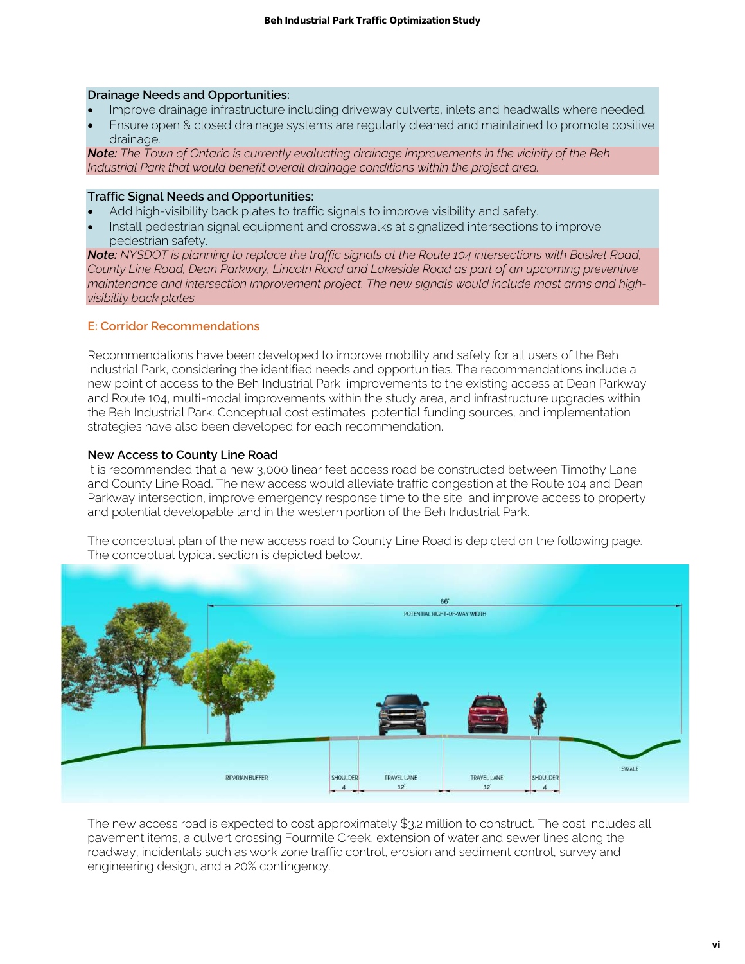#### **Drainage Needs and Opportunities:**

- Improve drainage infrastructure including driveway culverts, inlets and headwalls where needed.
- Ensure open & closed drainage systems are regularly cleaned and maintained to promote positive drainage.

*Note: The Town of Ontario is currently evaluating drainage improvements in the vicinity of the Beh Industrial Park that would benefit overall drainage conditions within the project area.* 

#### **Traffic Signal Needs and Opportunities:**

- Add high-visibility back plates to traffic signals to improve visibility and safety.
- Install pedestrian signal equipment and crosswalks at signalized intersections to improve pedestrian safety.

*Note: NYSDOT is planning to replace the traffic signals at the Route 104 intersections with Basket Road, County Line Road, Dean Parkway, Lincoln Road and Lakeside Road as part of an upcoming preventive maintenance and intersection improvement project. The new signals would include mast arms and highvisibility back plates.* 

#### **E: Corridor Recommendations**

Recommendations have been developed to improve mobility and safety for all users of the Beh Industrial Park, considering the identified needs and opportunities. The recommendations include a new point of access to the Beh Industrial Park, improvements to the existing access at Dean Parkway and Route 104, multi-modal improvements within the study area, and infrastructure upgrades within the Beh Industrial Park. Conceptual cost estimates, potential funding sources, and implementation strategies have also been developed for each recommendation.

## **New Access to County Line Road**

It is recommended that a new 3,000 linear feet access road be constructed between Timothy Lane and County Line Road. The new access would alleviate traffic congestion at the Route 104 and Dean Parkway intersection, improve emergency response time to the site, and improve access to property and potential developable land in the western portion of the Beh Industrial Park.

The conceptual plan of the new access road to County Line Road is depicted on the following page. The conceptual typical section is depicted below.



The new access road is expected to cost approximately \$3.2 million to construct. The cost includes all pavement items, a culvert crossing Fourmile Creek, extension of water and sewer lines along the roadway, incidentals such as work zone traffic control, erosion and sediment control, survey and engineering design, and a 20% contingency.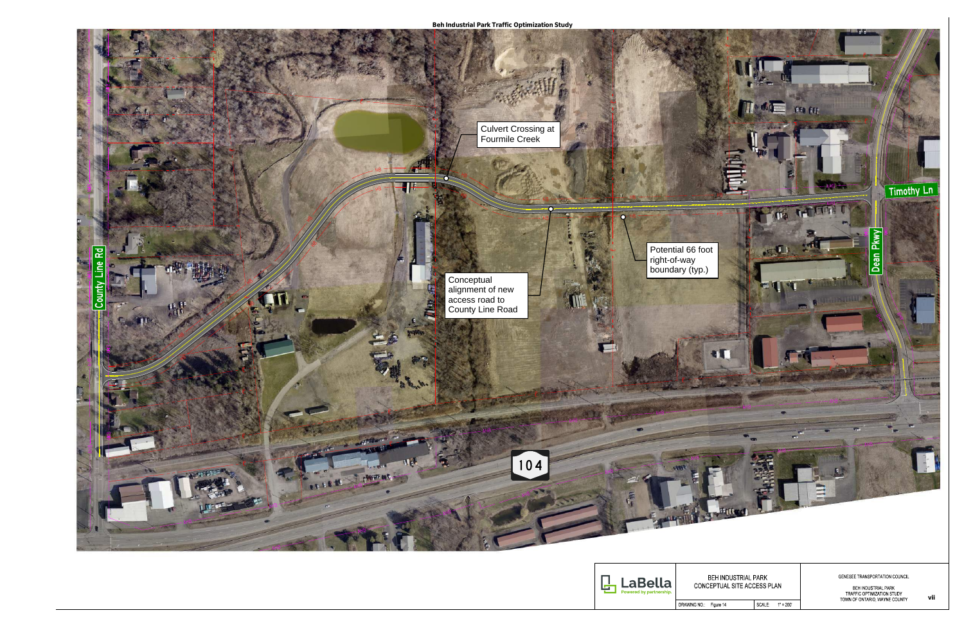

DRAWING NO. Figure 14

| Κ |        |  |
|---|--------|--|
|   | S PLAN |  |

GENESEE TRANSPORTATION COUNCIL

BEH INDUSTRIAL PARK<br>TRAFFIC OPTIMIZATION STUDY<br>TOWN OF ONTARIO, WAYNE COUNTY

SCALE: 1" = 200'

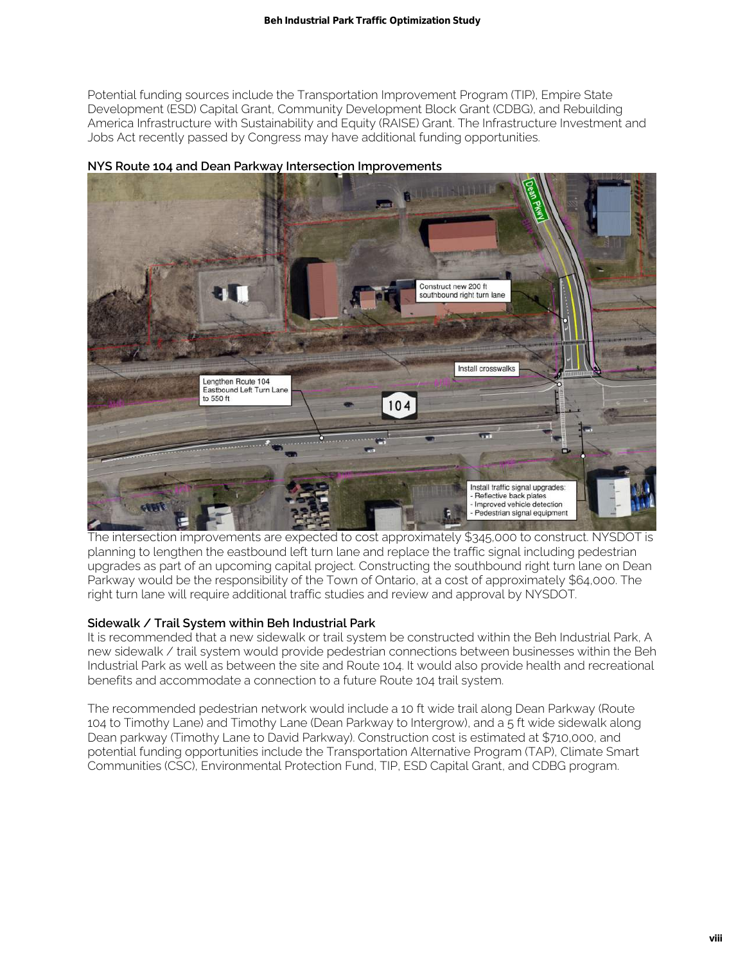Potential funding sources include the Transportation Improvement Program (TIP), Empire State Development (ESD) Capital Grant, Community Development Block Grant (CDBG), and Rebuilding America Infrastructure with Sustainability and Equity (RAISE) Grant. The Infrastructure Investment and Jobs Act recently passed by Congress may have additional funding opportunities.



**NYS Route 104 and Dean Parkway Intersection Improvements** 

The intersection improvements are expected to cost approximately \$345,000 to construct. NYSDOT is planning to lengthen the eastbound left turn lane and replace the traffic signal including pedestrian upgrades as part of an upcoming capital project. Constructing the southbound right turn lane on Dean Parkway would be the responsibility of the Town of Ontario, at a cost of approximately \$64,000. The right turn lane will require additional traffic studies and review and approval by NYSDOT.

## **Sidewalk / Trail System within Beh Industrial Park**

It is recommended that a new sidewalk or trail system be constructed within the Beh Industrial Park, A new sidewalk / trail system would provide pedestrian connections between businesses within the Beh Industrial Park as well as between the site and Route 104. It would also provide health and recreational benefits and accommodate a connection to a future Route 104 trail system.

The recommended pedestrian network would include a 10 ft wide trail along Dean Parkway (Route 104 to Timothy Lane) and Timothy Lane (Dean Parkway to Intergrow), and a 5 ft wide sidewalk along Dean parkway (Timothy Lane to David Parkway). Construction cost is estimated at \$710,000, and potential funding opportunities include the Transportation Alternative Program (TAP), Climate Smart Communities (CSC), Environmental Protection Fund, TIP, ESD Capital Grant, and CDBG program.